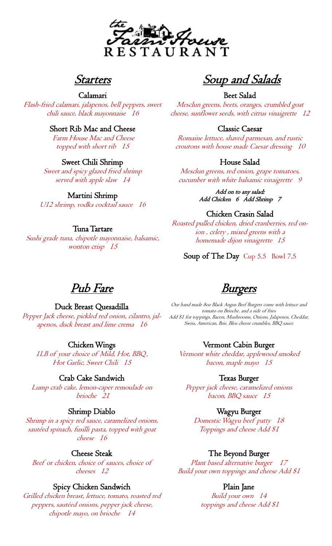

# Starters

## Calamari

Flash-fried calamari, jalapenos, bell peppers, sweet chili sauce, black mayonnaise 16

## Short Rib Mac and Cheese

Farm House Mac and Cheese topped with short rib 15

## Sweet Chili Shrimp

Sweet and spicy glazed fried shrimp served with apple slaw 14

## Martini Shrimp

U12 shrimp, vodka cocktail sauce 16

## Tuna Tartare

Sushi grade tuna, chipotle mayonnaise, balsamic, wonton crisp 15

Soup and Salads

Beet Salad

Mesclun greens, beets, oranges, crumbled goat cheese, sunflower seeds, with citrus vinaigrette 12

#### Classic Caesar

Romaine lettuce, shaved parmesan, and rustic croutons with house made Caesar dressing 10

## House Salad

Mesclun greens, red onion, grape tomatoes, cucumber with white balsamic vinaigrette 9

> Add on to any salad: Add Chicken 6 Add Shrimp 7

#### Chicken Crasin Salad

Roasted pulled chicken, dried cranberries, red onion , celery , mixed greens with a homemade dijon vinaigrette <sup>15</sup>

Soup of The Day Cup 5.5 Bowl 7.5

Pub Fare

#### Duck Breast Quesadilla Pepper Jack cheese, pickled red onion, cilantro, jal-

apenos, duck breast and lime crema 16

#### Chicken Wings

1LB of your choice of Mild, Hot, BBQ, Hot Garlic, Sweet Chili 15

#### Crab Cake Sandwich

Lump crab cake, lemon-caper remoulade on brioche 21

#### Shrimp Diablo

Shrimp in a spicy red sauce, caramelized onions, sautéed spinach, fusilli pasta, topped with goat cheese 16

#### Cheese Steak

Beef or chicken, choice of sauces, choice of cheeses 12

#### Spicy Chicken Sandwich

Grilled chicken breast, lettuce, tomato, roasted red peppers, sautéed onions, pepper jack cheese, chipotle mayo, on brioche 14

Burgers

Our hand made 8oz Black Angus Beef Burgers come with lettuce and tomato on Brioche. and a side of fries Add \$1 for toppings, Bacon, Mushrooms, Onions, Jalapenos, Cheddar, Swiss, American, Brie, Bleu cheese crumbles, BBQ sauce

#### Vermont Cabin Burger

Vermont white cheddar, applewood smoked bacon, maple mayo 15

#### Texas Burger

Pepper jack cheese, caramelized onions bacon, BBQ sauce 15

#### Wagyu Burger

Domestic Wagyu beef patty 18 Toppings and cheese Add \$1

#### The Beyond Burger

Plant based alternative burger 17 Build your own toppings and cheese Add \$1

#### Plain Jane

Build your own 14 toppings and cheese Add \$1